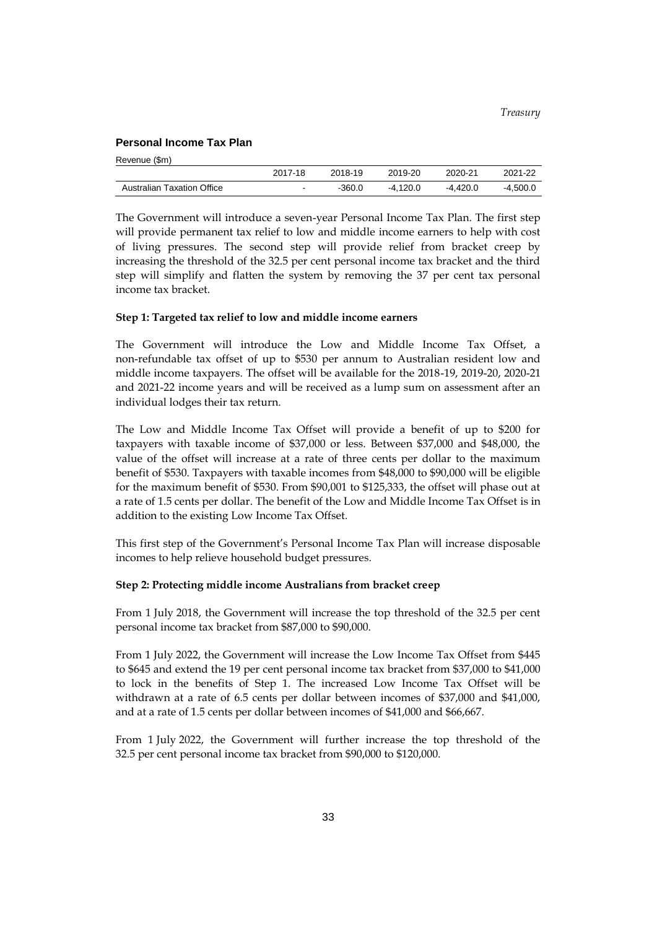# **Personal Income Tax Plan**

Revenue (\$m)

|                            | 2017-18 | 2018-19  | 2019-20    | 2020-21    | 2021-22    |
|----------------------------|---------|----------|------------|------------|------------|
| Australian Taxation Office |         | $-360.0$ | $-4.120.0$ | $-4.420.0$ | $-4.500.0$ |

The Government will introduce a seven-year Personal Income Tax Plan. The first step will provide permanent tax relief to low and middle income earners to help with cost of living pressures. The second step will provide relief from bracket creep by increasing the threshold of the 32.5 per cent personal income tax bracket and the third step will simplify and flatten the system by removing the 37 per cent tax personal income tax bracket.

#### **Step 1: Targeted tax relief to low and middle income earners**

The Government will introduce the Low and Middle Income Tax Offset, a non-refundable tax offset of up to \$530 per annum to Australian resident low and middle income taxpayers. The offset will be available for the 2018-19, 2019-20, 2020-21 and 2021-22 income years and will be received as a lump sum on assessment after an individual lodges their tax return.

The Low and Middle Income Tax Offset will provide a benefit of up to \$200 for taxpayers with taxable income of \$37,000 or less. Between \$37,000 and \$48,000, the value of the offset will increase at a rate of three cents per dollar to the maximum benefit of \$530. Taxpayers with taxable incomes from \$48,000 to \$90,000 will be eligible for the maximum benefit of \$530. From \$90,001 to \$125,333, the offset will phase out at a rate of 1.5 cents per dollar. The benefit of the Low and Middle Income Tax Offset is in addition to the existing Low Income Tax Offset.

This first step of the Government's Personal Income Tax Plan will increase disposable incomes to help relieve household budget pressures.

#### **Step 2: Protecting middle income Australians from bracket creep**

From 1 July 2018, the Government will increase the top threshold of the 32.5 per cent personal income tax bracket from \$87,000 to \$90,000.

From 1 July 2022, the Government will increase the Low Income Tax Offset from \$445 to \$645 and extend the 19 per cent personal income tax bracket from \$37,000 to \$41,000 to lock in the benefits of Step 1. The increased Low Income Tax Offset will be withdrawn at a rate of 6.5 cents per dollar between incomes of \$37,000 and \$41,000, and at a rate of 1.5 cents per dollar between incomes of \$41,000 and \$66,667.

From 1 July 2022, the Government will further increase the top threshold of the 32.5 per cent personal income tax bracket from \$90,000 to \$120,000.